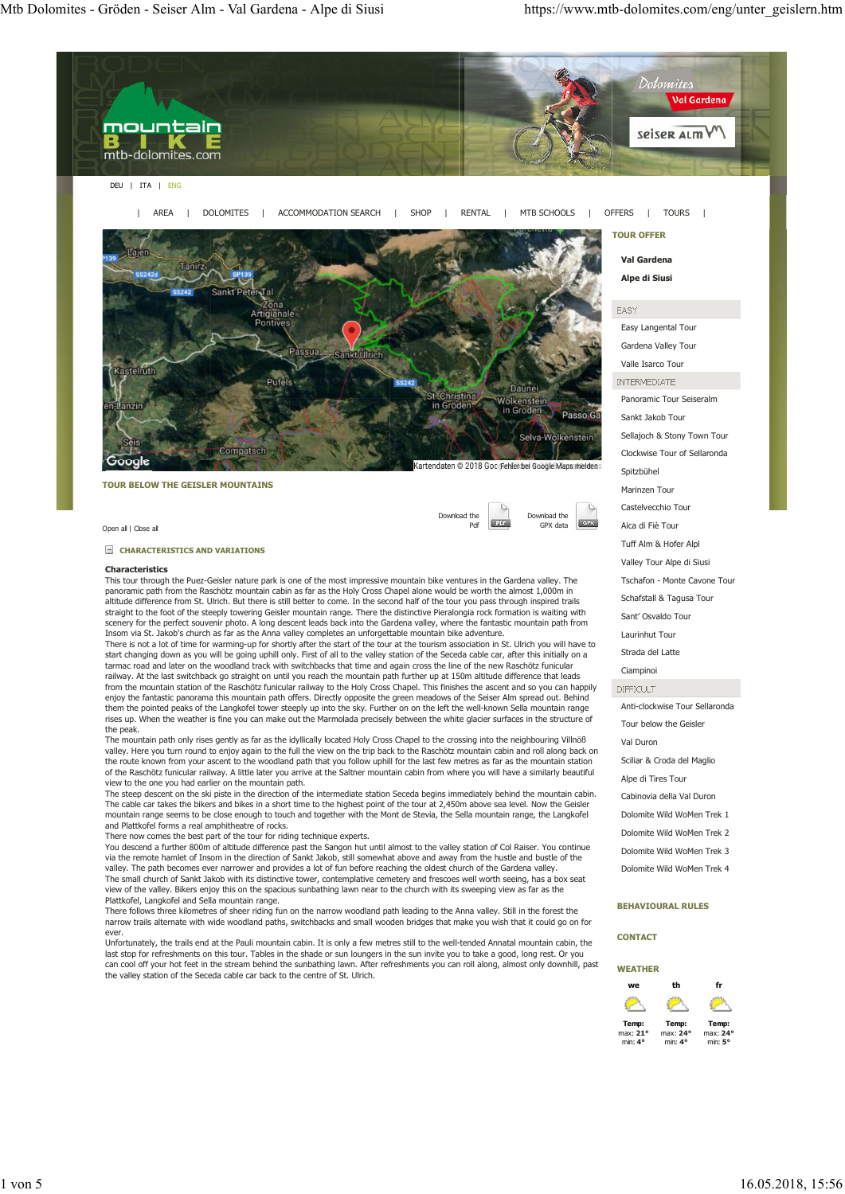

This tour through the Puez-Geisler nature park is one of the most impressive mountain bike ventures in the Gardena valley. The panoramic path from the Raschötz mountain cabin as far as the Holy Cross Chapel alone would be worth the almost 1,000m in<br>altitude difference from St. Ulrich. But there is still better to come. In the second half of the to straight to the foot of the steeply towering Geisler mountain range. There the distinctive Pieralongia rock formation is waiting with straight to the foot of the steeply towering Geisler mountain range. There the distincti scenery for the perfect souvenir photo. A long descent leads back into the Gardena valley, where the fantastic mountain path from<br>Insom via St. Jakob's church as far as the Anna valley completes an unforgettable mountain b

There is not a lot of time for warming-up for shortly after the start of the tour at the tourism association in St. Ulrich you will have to start changing down as you will be going uphill only. First of all to the valley station of the Seceda cable car, after this initially on a<br>tarmac road and later on the woodland track with switchbacks that time and again c railway. At the last switchback go straight on until you reach the mountain path further up at 150m altitude difference that leads from the mountain station of the Raschötz funicular railway to the Holy Cross Chapel. This finishes the ascent and so you can happily<br>enjoy the fantastic panorama this mountain path offers. Directly opposite the green mead rises up. When the weather is fine you can make out the Marmolada precisely between the white glacier surfaces in the structure of the peak

The mountain path only rises gently as far as the idyllically located Holy Cross Chapel to the crossing into the neighbouring Villnöß valley. Here you turn round to enjoy again to the full the view on the trip back to the Raschötz mountain cabin and roll along back on<br>the route known from your ascent to the woodland path that you follow uphill for the la of the Raschötz funicular railway. A little later you arrive at the Saltner mountain cabin from where you will have a similarly beautiful view to the one you had earlier on the mountain path.

The steep descent on the ski piste in the direction of the intermediate station Seceda begins immediately behind the mountain cabin.<br>The cable car takes the bikers and bikes in a short time to the highest point of the tour mountain range seems to be close enough to touch and together with the Mont de Stevia, the Sella mountain range, the Langkofel and Plattkofel forms a real amphitheatre of rocks.

There now comes the best part of the tour for riding technique experts.

You descend a further 800m of altitude difference past the Sangon hut until almost to the valley station of Col Raiser. You continue via the remote hamlet of Insom in the direction of Sankt Jakob, still somewhat above and away from the hustle and bustle of the<br>valley. The path becomes ever narrower and provides a lot of fun before reaching the oldest ch The small church of Sankt Jakob with its distinctive tower, contemplative cemetery and frescoes well worth seeing, has a box seat view of the valley. Bikers enjoy this on the spacious sunbathing lawn near to the church with its sweeping view as far as the Plattkofel, Langkofel and Sella mountain range.

There follows three kilometres of sheer riding fun on the narrow woodland path leading to the Anna valley. Still in the forest the narrow trails alternate with wide woodland paths, switchbacks and small wooden bridges that make you wish that it could go on for ever.

Unfortunately, the trails end at the Pauli mountain cabin. It is only a few metres still to the well-tended Annatal mountain cabin, the last stop for refreshments on this tour. Tables in the shade or sun loungers in the sun invite you to take a good, long rest. Or you<br>can cool off your hot feet in the stream behind the sunbathing lawn. After refreshments y the valley station of the Seceda cable car back to the centre of St. Ulrich.

# **BEHAVIOURAL RULES**

Schafstall & Tagusa Tour Sant' Osvaldo Tour Laurinhut Tour Strada del Latte Ciampinoi

Anti-clockwise Tour Sellaronda Tour below the Geisler

Sciliar & Croda del Maglio Alpe di Tires Tour Cabinovia della Val Duron Dolomite Wild WoMen Trek 1 Dolomite Wild WoMen Trek 2 Dolomite Wild WoMen Trek 3 Dolomite Wild WoMen Trek 4

### **CONTACT**

Val Duron

**DIFFICULT** 

| WEATHER  |          |          |
|----------|----------|----------|
| we       | th       | fr       |
|          |          |          |
| Temp:    | Temp:    | Temp:    |
| max: 21° | max: 24° | max: 24° |
| min: 4°  | min: 4°  | min: 5°  |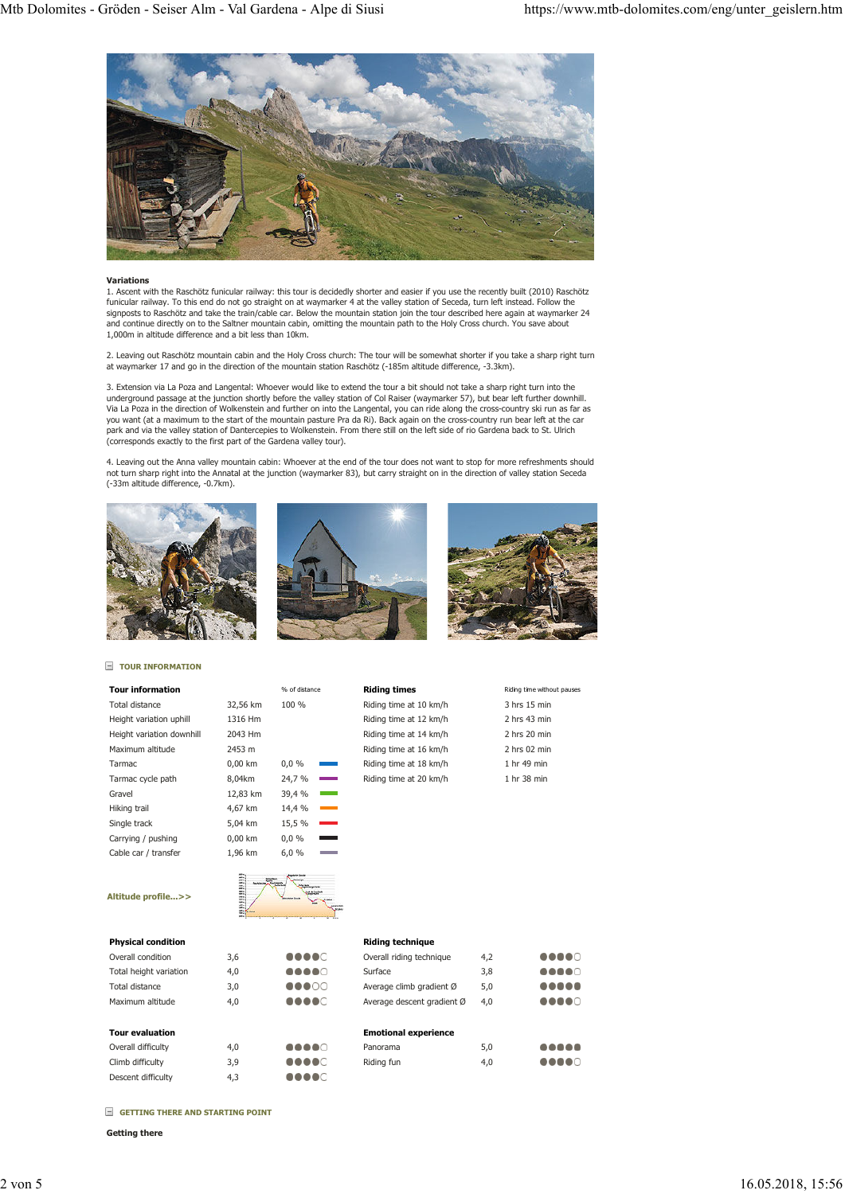

## **Variations**

1. Ascent with the Raschötz funicular railway: this tour is decidedly shorter and easier if you use the recently built (2010) Raschötz funicular railway. To this end do not go straight on at waymarker 4 at the valley station of Seceda, turn left instead. Follow the signposts to Raschötz and take the train/cable car. Below the mountain station join the tour described here again at waymarker 24<br>and continue directly on to the Saltner mountain cabin, omitting the mountain path to the Ho 1,000m in altitude difference and a bit less than 10km.

2. Leaving out Raschötz mountain cabin and the Holy Cross church: The tour will be somewhat shorter if you take a sharp right turn at waymarker 17 and go in the direction of the mountain station Raschötz (-185m altitude difference, -3.3km).

3. Extension via La Poza and Langental: Whoever would like to extend the tour a bit should not take a sharp right turn into the<br>underground passage at the junction shortly before the valley station of Col Raiser (waymarker Via La Poza in the direction of Wolkenstein and further on into the Langental, you can ride along the cross-country ski run as far as you want (at a maximum to the start of the mountain pasture Pra da Ri). Back again on the cross-country run bear left at the car<br>park and via the valley station of Dantercepies to Wolkenstein. From there still on the left (corresponds exactly to the first part of the Gardena valley tour).

4. Leaving out the Anna valley mountain cabin: Whoever at the end of the tour does not want to stop for more refreshments should not turn sharp right into the Annatal at the junction (waymarker 83), but carry straight on in the direction of valley station Seceda (-33m altitude difference, -0.7km).







# **TOUR INFORMATION**

| <b>Tour information</b>   |                                  | % of distance          | <b>Riding times</b>    | Riding time without pauses |
|---------------------------|----------------------------------|------------------------|------------------------|----------------------------|
| Total distance            | 32,56 km                         | 100 %                  | Riding time at 10 km/h | 3 hrs 15 min               |
| Height variation uphill   | 1316 Hm                          |                        | Riding time at 12 km/h | 2 hrs 43 min               |
| Height variation downhill | 2043 Hm                          |                        | Riding time at 14 km/h | 2 hrs 20 min               |
| Maximum altitude          | 2453 m                           |                        | Riding time at 16 km/h | $2$ hrs 02 min             |
| Tarmac                    | $0,00$ km                        | $0,0\%$<br>a sa nag    | Riding time at 18 km/h | 1 hr 49 min                |
| Tarmac cycle path         | 8,04km                           | 24,7 %                 | Riding time at 20 km/h | 1 hr 38 min                |
| Gravel                    | 12,83 km                         | 39,4 %<br>and the con- |                        |                            |
| Hiking trail              | 4,67 km                          | 14,4 %                 |                        |                            |
| Single track              | 5,04 km                          | 15,5 %                 |                        |                            |
| Carrying / pushing        | $0,00$ km                        | 0,0%<br>$\sim$         |                        |                            |
| Cable car / transfer      | 1,96 km                          | 6,0%                   |                        |                            |
| Altitude profile>>        | <b>HUILDER</b><br><b>Belling</b> | American<br>-          |                        |                            |

....

....

.....

| 3 hrs 15 min   |
|----------------|
| 2 hrs 43 min   |
| 2 hrs 20 min   |
| $2$ hrs 02 min |
| 1 hr 49 min    |
| 1 hr 38 min    |
|                |

# K

| <b>Physical condition</b> |     |         |
|---------------------------|-----|---------|
| Overall condition         | 3.6 | <b></b> |
| Total height variation    | 4.0 |         |
| Total distance            | 3.0 | 00000   |
| Maximum altitude          | 4.0 |         |
|                           |     |         |

| <b>Tour evaluation</b> |     |
|------------------------|-----|
| Overall difficulty     | 4.0 |
| Climb difficulty       | 3.9 |
| Descent difficulty     | 4.3 |

# **Riding technique**

| Overall riding technique   | 4.2 |  |
|----------------------------|-----|--|
| Surface                    | 3.8 |  |
| Average climb gradient Ø   | 5.0 |  |
| Average descent gradient Ø | 4.0 |  |
|                            |     |  |

### **Emotional experience** ..... Panorama 5,0 Riding fun 4,0 ....

 **GETTING THERE AND STARTING POINT**

**Getting there**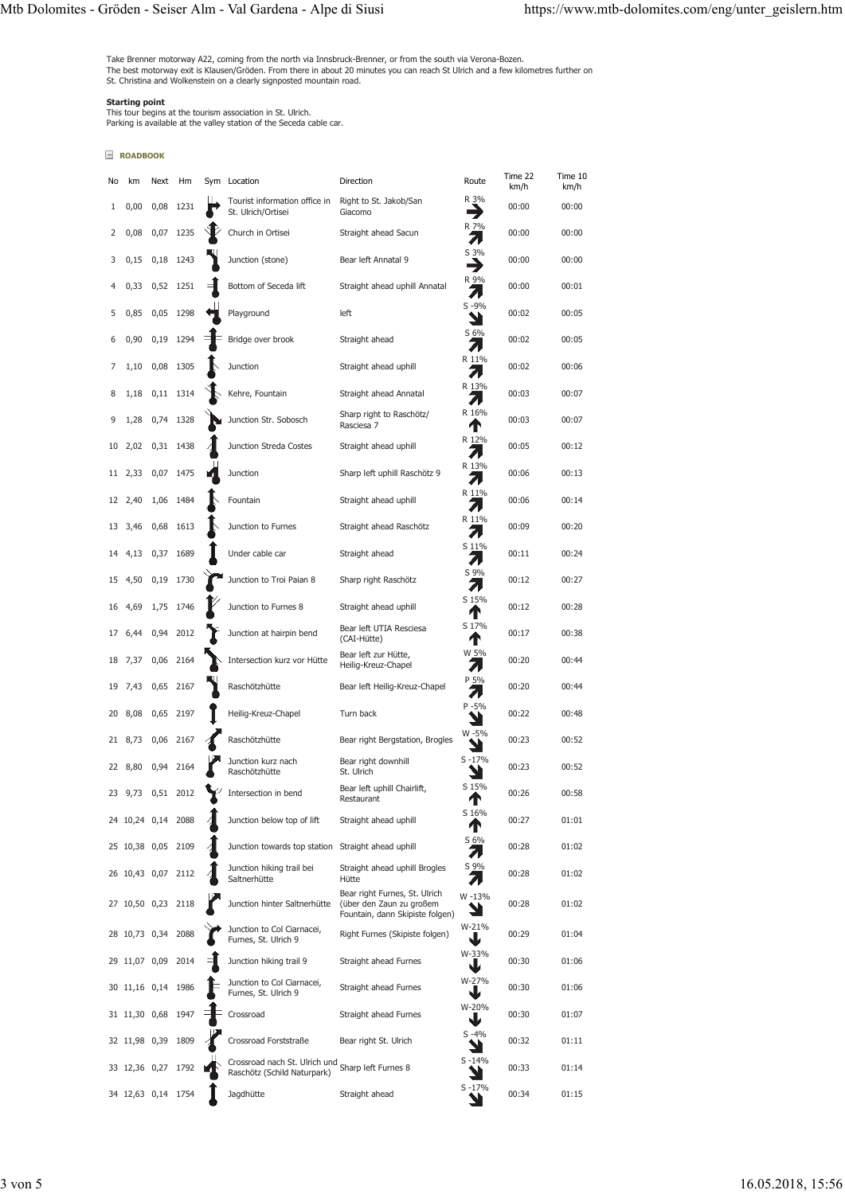Take Brenner motorway A22, coming from the north via Innsbruck-Brenner, or from the south via Verona-Bozen.<br>The best motorway exit is Klausen/Gröden. From there in about 20 minutes you can reach St Ulrich and a few kilomet

**Starting point**<br>This tour begins at the tourism association in St. Ulrich.<br>Parking is available at the valley station of the Seceda cable car.

# **ROADBOOK**

| No | km                 | Next      | Hm        | Sym Location                                                                     | Direction                                                                                    | Route          | Time 22<br>km/h | Time 10<br>km/h |
|----|--------------------|-----------|-----------|----------------------------------------------------------------------------------|----------------------------------------------------------------------------------------------|----------------|-----------------|-----------------|
| 1  | 0,00               | 0,08      | 1231      | Tourist information office in<br>St. Ulrich/Ortisei                              | Right to St. Jakob/San<br>Giacomo                                                            | R 3%<br>→      | 00:00           | 00:00           |
| 2  | 0,08               | 0,07      | 1235      | Church in Ortisei                                                                | Straight ahead Sacun                                                                         | R 7%<br>↗      | 00:00           | 00:00           |
| 3  | 0,15               |           | 0,18 1243 | Junction (stone)                                                                 | Bear left Annatal 9                                                                          | S 3%<br>→      | 00:00           | 00:00           |
| 4  | 0,33               |           | 0,52 1251 | Bottom of Seceda lift                                                            | Straight ahead uphill Annatal                                                                | R 9%<br>71     | 00:00           | 00:01           |
| 5  | 0,85               |           | 0,05 1298 | Playground                                                                       | left                                                                                         | $S - 9%$       | 00:02           | 00:05           |
| 6  | 0,90               |           | 0,19 1294 | Bridge over brook                                                                | Straight ahead                                                                               | S 6%<br>л      | 00:02           | 00:05           |
| 7  | 1,10               | 0,08 1305 |           | Junction                                                                         | Straight ahead uphill                                                                        | R 11%<br>71    | 00:02           | 00:06           |
| 8  | 1,18               |           | 0,11 1314 | Kehre, Fountain                                                                  | Straight ahead Annatal                                                                       | R 13%<br>71    | 00:03           | 00:07           |
| 9  | 1,28               |           | 0,74 1328 | Junction Str. Sobosch                                                            | Sharp right to Raschötz/<br>Rasciesa 7                                                       | R 16%<br>Т     | 00:03           | 00:07           |
| 10 | 2,02               |           | 0,31 1438 | Junction Streda Costes                                                           | Straight ahead uphill                                                                        | R 12%<br>71    | 00:05           | 00:12           |
| 11 | 2,33               |           | 0,07 1475 | Junction                                                                         | Sharp left uphill Raschötz 9                                                                 | R 13%<br>71    | 00:06           | 00:13           |
| 12 | 2,40               |           | 1,06 1484 | Fountain                                                                         | Straight ahead uphill                                                                        | R 11%<br>↗     | 00:06           | 00:14           |
| 13 | 3,46               | 0,68      | 1613      | Junction to Furnes                                                               | Straight ahead Raschötz                                                                      | R 11%<br>л     | 00:09           | 00:20           |
| 14 | 4,13               | 0,37      | 1689      | Under cable car                                                                  | Straight ahead                                                                               | S 11%<br>71    | 00:11           | 00:24           |
| 15 | 4,50               | 0,19      | 1730      | Junction to Troi Paian 8                                                         | Sharp right Raschötz                                                                         | S 9%<br>71     | 00:12           | 00:27           |
| 16 | 4,69               |           | 1,75 1746 | Junction to Furnes 8                                                             | Straight ahead uphill                                                                        | S 15%<br>Т     | 00:12           | 00:28           |
| 17 | 6,44               | 0,94      | 2012      | Junction at hairpin bend                                                         | Bear left UTIA Resciesa<br>(CAI-Hütte)                                                       | S 17%<br>Т     | 00:17           | 00:38           |
| 18 | 7,37               | 0,06      | 2164      | Intersection kurz vor Hütte                                                      | Bear left zur Hütte,<br>Heilig-Kreuz-Chapel                                                  | W 5%<br>71     | 00:20           | 00:44           |
| 19 | 7,43               | 0,65      | 2167      | Raschötzhütte                                                                    | Bear left Heilig-Kreuz-Chapel                                                                | P 5%<br>71     | 00:20           | 00:44           |
| 20 | 8,08               | 0,65      | 2197      | Heilig-Kreuz-Chapel                                                              | Turn back                                                                                    | $P - 5%$       | 00:22           | 00:48           |
| 21 | 8,73               |           | 0,06 2167 | Raschötzhütte                                                                    | Bear right Bergstation, Brogles                                                              | W-5%<br>Ч      | 00:23           | 00:52           |
| 22 | 8,80               | 0,94      | 2164      | Junction kurz nach<br>Raschötzhütte                                              | Bear right downhill<br>St. Ulrich                                                            | $S - 17%$      | 00:23           | 00:52           |
|    | 23 9,73            |           | 0,51 2012 | Intersection in bend                                                             | Bear left uphill Chairlift,<br>Restaurant                                                    | S 15%<br>Т     | 00:26           | 00:58           |
|    | 24 10,24 0,14      |           | 2088      | Junction below top of lift                                                       | Straight ahead uphill                                                                        | S 16%<br>Т     | 00:27           | 01:01           |
|    | 25 10,38 0,05      |           | 2109      | Junction towards top station Straight ahead uphill                               |                                                                                              | S 6%<br>71     | 00:28           | 01:02           |
|    | 26 10,43 0,07      |           | 2112      | Junction hiking trail bei<br>Saltnerhütte                                        | Straight ahead uphill Brogles<br>Hütte                                                       | S 9%           | 00:28           | 01:02           |
|    | 27 10,50 0,23 2118 |           |           | Junction hinter Saltnerhütte                                                     | Bear right Furnes, St. Ulrich<br>(über den Zaun zu großem<br>Fountain, dann Skipiste folgen) | W-13%          | 00:28           | 01:02           |
|    | 28 10,73 0,34      |           | 2088      | Junction to Col Ciarnacei,<br>Furnes, St. Ulrich 9                               | Right Furnes (Skipiste folgen)                                                               | W-21%<br>V     | 00:29           | 01:04           |
|    | 29 11,07 0,09      |           | 2014      | Junction hiking trail 9                                                          | Straight ahead Furnes                                                                        | W-33%<br>V     | 00:30           | 01:06           |
| 30 | 11,16 0,14 1986    |           |           | Junction to Col Ciarnacei,<br>Furnes, St. Ulrich 9                               | Straight ahead Furnes                                                                        | W-27%<br>₩     | 00:30           | 01:06           |
|    | 31 11,30 0,68      |           | 1947      | Crossroad                                                                        | Straight ahead Furnes                                                                        | W-20%<br>₩     | 00:30           | 01:07           |
|    | 32 11,98 0,39      |           | 1809      | Crossroad Forststraße                                                            | Bear right St. Ulrich                                                                        | $S - 4%$       | 00:32           | 01:11           |
|    | 33 12,36 0,27      |           | 1792      | Crossroad nach St. Ulrich und Sharp left Furnes 8<br>Raschötz (Schild Naturpark) |                                                                                              | $S - 14%$      | 00:33           | 01:14           |
|    | 34 12,63 0,14 1754 |           |           | Jagdhütte                                                                        | Straight ahead                                                                               | $S - 17%$<br>ע | 00:34           | 01:15           |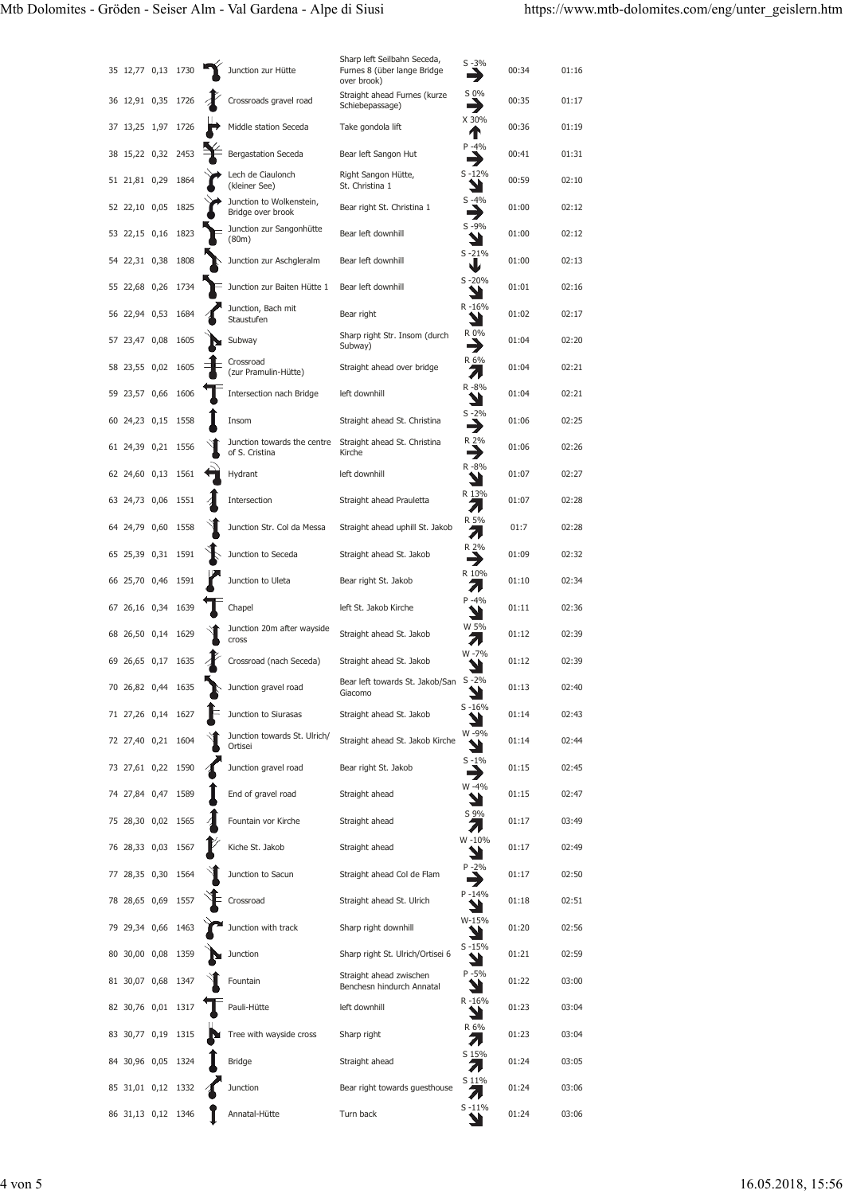|                    |               |                                                                                                                                                                                                                                                                                                                                                                                                                                                                                                                                                                                                                                                                                                                                                                                                         | Junction zur Hütte                            | Sharp left Seilbahn Seceda,<br>Furnes 8 (über lange Bridge<br>over brook) | $S - 3%$              | 00:34 | 01:16 |
|--------------------|---------------|---------------------------------------------------------------------------------------------------------------------------------------------------------------------------------------------------------------------------------------------------------------------------------------------------------------------------------------------------------------------------------------------------------------------------------------------------------------------------------------------------------------------------------------------------------------------------------------------------------------------------------------------------------------------------------------------------------------------------------------------------------------------------------------------------------|-----------------------------------------------|---------------------------------------------------------------------------|-----------------------|-------|-------|
|                    |               |                                                                                                                                                                                                                                                                                                                                                                                                                                                                                                                                                                                                                                                                                                                                                                                                         | Crossroads gravel road                        | Straight ahead Furnes (kurze<br>Schiebepassage)                           | S 0%<br>→             | 00:35 | 01:17 |
|                    |               |                                                                                                                                                                                                                                                                                                                                                                                                                                                                                                                                                                                                                                                                                                                                                                                                         | Middle station Seceda                         | Take gondola lift                                                         | X 30%<br>Т            | 00:36 | 01:19 |
|                    |               |                                                                                                                                                                                                                                                                                                                                                                                                                                                                                                                                                                                                                                                                                                                                                                                                         | <b>Bergastation Seceda</b>                    | Bear left Sangon Hut                                                      | $P - 4%$<br>3         | 00:41 | 01:31 |
|                    |               |                                                                                                                                                                                                                                                                                                                                                                                                                                                                                                                                                                                                                                                                                                                                                                                                         | Lech de Ciaulonch<br>(kleiner See)            | Right Sangon Hütte,<br>St. Christina 1                                    | $S - 12%$             | 00:59 | 02:10 |
|                    |               |                                                                                                                                                                                                                                                                                                                                                                                                                                                                                                                                                                                                                                                                                                                                                                                                         | Junction to Wolkenstein,<br>Bridge over brook | Bear right St. Christina 1                                                | $S - 4%$              | 01:00 | 02:12 |
|                    |               |                                                                                                                                                                                                                                                                                                                                                                                                                                                                                                                                                                                                                                                                                                                                                                                                         | Junction zur Sangonhütte<br>(80m)             | Bear left downhill                                                        | $S - 9%$              | 01:00 | 02:12 |
|                    |               |                                                                                                                                                                                                                                                                                                                                                                                                                                                                                                                                                                                                                                                                                                                                                                                                         | Junction zur Aschgleralm                      | Bear left downhill                                                        | $S - 21%$<br>V        | 01:00 | 02:13 |
|                    |               |                                                                                                                                                                                                                                                                                                                                                                                                                                                                                                                                                                                                                                                                                                                                                                                                         | Junction zur Baiten Hütte 1                   | Bear left downhill                                                        | $S - 20%$             | 01:01 | 02:16 |
|                    |               |                                                                                                                                                                                                                                                                                                                                                                                                                                                                                                                                                                                                                                                                                                                                                                                                         | Junction, Bach mit<br>Staustufen              | Bear right                                                                | $R - 16%$<br>ע        | 01:02 | 02:17 |
|                    |               |                                                                                                                                                                                                                                                                                                                                                                                                                                                                                                                                                                                                                                                                                                                                                                                                         | Subway                                        | Sharp right Str. Insom (durch<br>Subway)                                  | R 0%<br>⊣             | 01:04 | 02:20 |
|                    |               |                                                                                                                                                                                                                                                                                                                                                                                                                                                                                                                                                                                                                                                                                                                                                                                                         | Crossroad<br>(zur Pramulin-Hütte)             | Straight ahead over bridge                                                | R 6%<br>71            | 01:04 | 02:21 |
|                    |               |                                                                                                                                                                                                                                                                                                                                                                                                                                                                                                                                                                                                                                                                                                                                                                                                         | Intersection nach Bridge                      | left downhill                                                             | R-8%                  | 01:04 | 02:21 |
|                    |               |                                                                                                                                                                                                                                                                                                                                                                                                                                                                                                                                                                                                                                                                                                                                                                                                         | Insom                                         | Straight ahead St. Christina                                              | $S - 2%$              | 01:06 | 02:25 |
|                    |               |                                                                                                                                                                                                                                                                                                                                                                                                                                                                                                                                                                                                                                                                                                                                                                                                         | Junction towards the centre<br>of S. Cristina | Straight ahead St. Christina<br>Kirche                                    | R 2%<br>⊣             | 01:06 | 02:26 |
|                    |               |                                                                                                                                                                                                                                                                                                                                                                                                                                                                                                                                                                                                                                                                                                                                                                                                         | Hydrant                                       | left downhill                                                             | R-8%<br>צ             | 01:07 | 02:27 |
|                    |               |                                                                                                                                                                                                                                                                                                                                                                                                                                                                                                                                                                                                                                                                                                                                                                                                         | Intersection                                  | Straight ahead Prauletta                                                  | R 13%<br>71           | 01:07 | 02:28 |
|                    |               |                                                                                                                                                                                                                                                                                                                                                                                                                                                                                                                                                                                                                                                                                                                                                                                                         | Junction Str. Col da Messa                    | Straight ahead uphill St. Jakob                                           | R 5%<br>Л             | 01:7  | 02:28 |
|                    |               |                                                                                                                                                                                                                                                                                                                                                                                                                                                                                                                                                                                                                                                                                                                                                                                                         | Junction to Seceda                            | Straight ahead St. Jakob                                                  | R 2%<br>→             | 01:09 | 02:32 |
|                    |               |                                                                                                                                                                                                                                                                                                                                                                                                                                                                                                                                                                                                                                                                                                                                                                                                         | Junction to Uleta                             | Bear right St. Jakob                                                      | R 10%<br>71           | 01:10 | 02:34 |
|                    |               |                                                                                                                                                                                                                                                                                                                                                                                                                                                                                                                                                                                                                                                                                                                                                                                                         | Chapel                                        | left St. Jakob Kirche                                                     | $P - 4%$              | 01:11 | 02:36 |
|                    | 1629          |                                                                                                                                                                                                                                                                                                                                                                                                                                                                                                                                                                                                                                                                                                                                                                                                         | Junction 20m after wayside<br>cross           | Straight ahead St. Jakob                                                  | W 5%<br>л             | 01:12 | 02:39 |
|                    | 1635          |                                                                                                                                                                                                                                                                                                                                                                                                                                                                                                                                                                                                                                                                                                                                                                                                         | Crossroad (nach Seceda)                       | Straight ahead St. Jakob                                                  | W-7%                  | 01:12 | 02:39 |
|                    | 1635          |                                                                                                                                                                                                                                                                                                                                                                                                                                                                                                                                                                                                                                                                                                                                                                                                         | Junction gravel road                          | Bear left towards St. Jakob/San<br>Giacomo                                | $S - 2%$<br>⊾<br>- 21 | 01:13 | 02:40 |
|                    |               |                                                                                                                                                                                                                                                                                                                                                                                                                                                                                                                                                                                                                                                                                                                                                                                                         | Junction to Siurasas                          | Straight ahead St. Jakob                                                  | $S - 16%$             | 01:14 | 02:43 |
|                    |               |                                                                                                                                                                                                                                                                                                                                                                                                                                                                                                                                                                                                                                                                                                                                                                                                         | Junction towards St. Ulrich/<br>Ortisei       | Straight ahead St. Jakob Kirche                                           | W-9%                  | 01:14 | 02:44 |
|                    |               |                                                                                                                                                                                                                                                                                                                                                                                                                                                                                                                                                                                                                                                                                                                                                                                                         | Junction gravel road                          | Bear right St. Jakob                                                      | $S - 1\%$<br>۲        | 01:15 | 02:45 |
|                    |               |                                                                                                                                                                                                                                                                                                                                                                                                                                                                                                                                                                                                                                                                                                                                                                                                         | End of gravel road                            | Straight ahead                                                            | W-4%                  | 01:15 | 02:47 |
|                    |               |                                                                                                                                                                                                                                                                                                                                                                                                                                                                                                                                                                                                                                                                                                                                                                                                         | Fountain vor Kirche                           | Straight ahead                                                            | S 9%                  | 01:17 | 03:49 |
|                    |               |                                                                                                                                                                                                                                                                                                                                                                                                                                                                                                                                                                                                                                                                                                                                                                                                         | Kiche St. Jakob                               | Straight ahead                                                            | W-10%                 | 01:17 | 02:49 |
|                    |               |                                                                                                                                                                                                                                                                                                                                                                                                                                                                                                                                                                                                                                                                                                                                                                                                         | Junction to Sacun                             | Straight ahead Col de Flam                                                | $P - 2%$<br>→         | 01:17 | 02:50 |
|                    |               |                                                                                                                                                                                                                                                                                                                                                                                                                                                                                                                                                                                                                                                                                                                                                                                                         | Crossroad                                     | Straight ahead St. Ulrich                                                 | $P - 14%$             | 01:18 | 02:51 |
|                    |               |                                                                                                                                                                                                                                                                                                                                                                                                                                                                                                                                                                                                                                                                                                                                                                                                         | Junction with track                           | Sharp right downhill                                                      | W-15%                 | 01:20 | 02:56 |
|                    |               |                                                                                                                                                                                                                                                                                                                                                                                                                                                                                                                                                                                                                                                                                                                                                                                                         |                                               | Sharp right St. Ulrich/Ortisei 6                                          | $S - 15%$             | 01:21 | 02:59 |
|                    |               |                                                                                                                                                                                                                                                                                                                                                                                                                                                                                                                                                                                                                                                                                                                                                                                                         | Fountain                                      | Straight ahead zwischen<br>Benchesn hindurch Annatal                      | $P - 5%$              | 01:22 | 03:00 |
|                    |               |                                                                                                                                                                                                                                                                                                                                                                                                                                                                                                                                                                                                                                                                                                                                                                                                         | Pauli-Hütte                                   | left downhill                                                             | R-16%<br>צ            | 01:23 | 03:04 |
|                    |               |                                                                                                                                                                                                                                                                                                                                                                                                                                                                                                                                                                                                                                                                                                                                                                                                         | Tree with wayside cross                       | Sharp right                                                               | R 6%<br>л             | 01:23 | 03:04 |
|                    |               |                                                                                                                                                                                                                                                                                                                                                                                                                                                                                                                                                                                                                                                                                                                                                                                                         | <b>Bridge</b>                                 | Straight ahead                                                            | S 15%<br>71           | 01:24 | 03:05 |
| 84 30,96 0,05 1324 |               |                                                                                                                                                                                                                                                                                                                                                                                                                                                                                                                                                                                                                                                                                                                                                                                                         |                                               |                                                                           |                       |       |       |
| 85 31,01 0,12 1332 |               |                                                                                                                                                                                                                                                                                                                                                                                                                                                                                                                                                                                                                                                                                                                                                                                                         | Junction                                      | Bear right towards guesthouse                                             | S 11%<br>71           | 01:24 | 03:06 |
| 65                 | 69 26,65 0,17 | 35 12,77 0,13 1730<br>36 12,91 0,35 1726<br>37 13,25 1,97 1726<br>38 15,22 0,32 2453<br>51 21,81 0,29 1864<br>52 22,10 0,05 1825<br>53 22,15 0,16 1823<br>54 22,31 0,38 1808<br>55 22,68 0,26 1734<br>56 22,94 0,53 1684<br>57 23,47 0,08 1605<br>58 23,55 0,02 1605<br>59 23,57 0,66 1606<br>60 24,23 0,15 1558<br>61 24,39 0,21 1556<br>62 24,60 0,13 1561<br>63 24,73 0,06 1551<br>64 24,79 0,60 1558<br>25,39 0,31 1591<br>66 25,70 0,46 1591<br>67 26,16 0,34 1639<br>68 26,50 0,14<br>70 26,82 0,44<br>71 27,26 0,14 1627<br>72 27,40 0,21 1604<br>73 27,61 0,22 1590<br>74 27,84 0,47 1589<br>75 28,30 0,02 1565<br>76 28,33 0,03 1567<br>77 28,35 0,30 1564<br>78 28,65 0,69 1557<br>79 29,34 0,66 1463<br>80 30,00 0,08 1359<br>81 30,07 0,68 1347<br>82 30,76 0,01 1317<br>83 30,77 0,19 1315 |                                               | $\sim$ Junction                                                           |                       | →     |       |